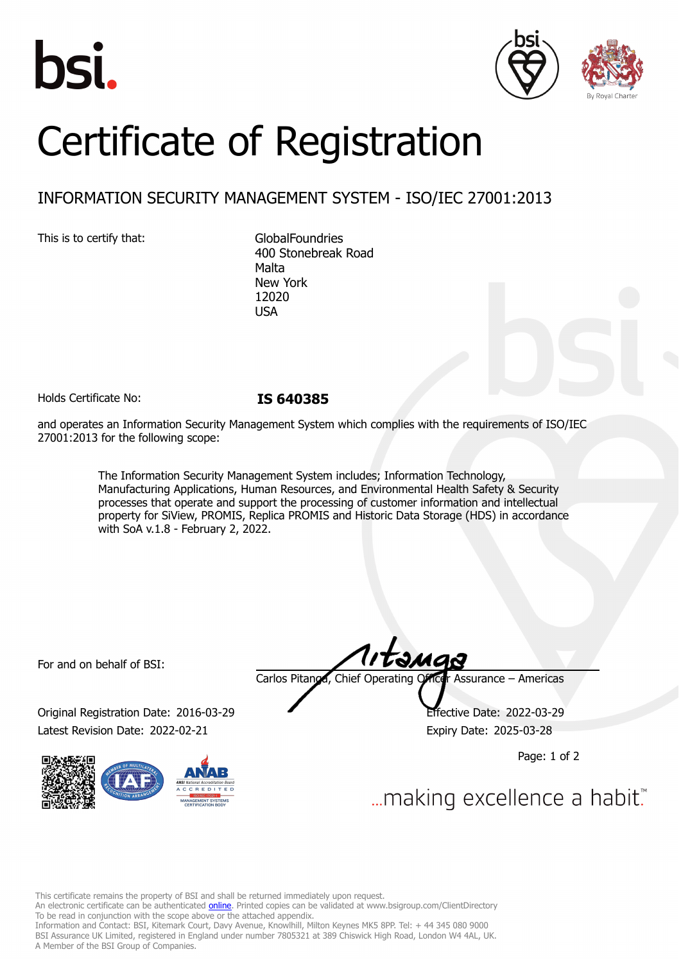





# Certificate of Registration

## INFORMATION SECURITY MANAGEMENT SYSTEM - ISO/IEC 27001:2013

This is to certify that: GlobalFoundries

400 Stonebreak Road Malta New York 12020 **USA** 

Holds Certificate No: **IS 640385**

and operates an Information Security Management System which complies with the requirements of ISO/IEC 27001:2013 for the following scope:

> The Information Security Management System includes; Information Technology, Manufacturing Applications, Human Resources, and Environmental Health Safety & Security processes that operate and support the processing of customer information and intellectual property for SiView, PROMIS, Replica PROMIS and Historic Data Storage (HDS) in accordance with SoA v.1.8 - February 2, 2022.

For and on behalf of BSI:

Original Registration Date: 2016-03-29 Effective Date: 2022-03-29 Latest Revision Date: 2022-02-21 Expiry Date: 2025-03-28



Carlos Pitanga, Chief Operating Officer Assurance – Americas

Page: 1 of 2

... making excellence a habit.

This certificate remains the property of BSI and shall be returned immediately upon request.

An electronic certificate can be authenticated *[online](https://pgplus.bsigroup.com/CertificateValidation/CertificateValidator.aspx?CertificateNumber=IS+640385&ReIssueDate=21%2f02%2f2022&Template=inc)*. Printed copies can be validated at www.bsigroup.com/ClientDirectory To be read in conjunction with the scope above or the attached appendix.

Information and Contact: BSI, Kitemark Court, Davy Avenue, Knowlhill, Milton Keynes MK5 8PP. Tel: + 44 345 080 9000 BSI Assurance UK Limited, registered in England under number 7805321 at 389 Chiswick High Road, London W4 4AL, UK. A Member of the BSI Group of Companies.